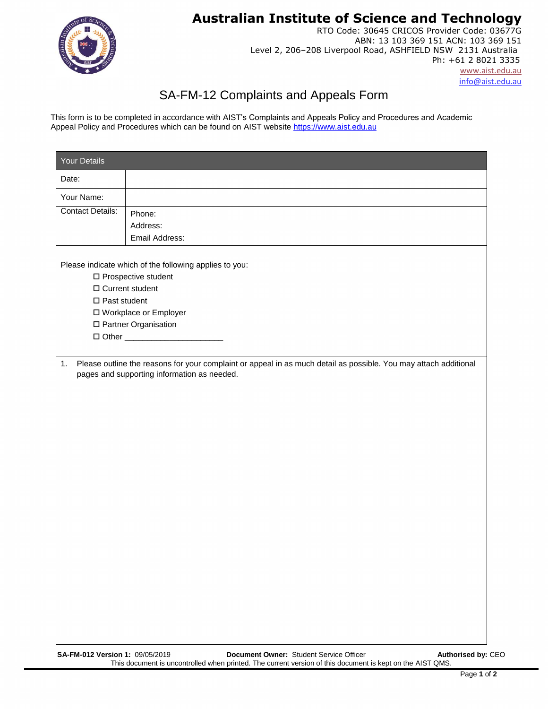**Australian Institute of Science and Technology**



RTO Code: 30645 CRICOS Provider Code: 03677G ABN: 13 103 369 151 ACN: 103 369 151 Level 2, 206–208 Liverpool Road, ASHFIELD NSW 2131 Australia Ph: +61 2 8021 3335 [www.aist.edu.au](http://www.aist.edu.au/)  [info@aist.edu.au](mailto:info@asit.edu.au)

## SA-FM-12 Complaints and Appeals Form

This form is to be completed in accordance with AIST's Complaints and Appeals Policy and Procedures and Academic Appeal Policy and Procedures which can be found on AIST website https://www.aist.edu.au

| Your Details            |                                                                                                                                                                 |  |  |  |  |  |  |  |
|-------------------------|-----------------------------------------------------------------------------------------------------------------------------------------------------------------|--|--|--|--|--|--|--|
| Date:                   |                                                                                                                                                                 |  |  |  |  |  |  |  |
| Your Name:              |                                                                                                                                                                 |  |  |  |  |  |  |  |
| <b>Contact Details:</b> | Phone:                                                                                                                                                          |  |  |  |  |  |  |  |
|                         | Address:<br>Email Address:                                                                                                                                      |  |  |  |  |  |  |  |
|                         |                                                                                                                                                                 |  |  |  |  |  |  |  |
|                         | Please indicate which of the following applies to you:                                                                                                          |  |  |  |  |  |  |  |
|                         | $\Box$ Prospective student                                                                                                                                      |  |  |  |  |  |  |  |
|                         | □ Current student<br>$\square$ Past student                                                                                                                     |  |  |  |  |  |  |  |
|                         | □ Workplace or Employer                                                                                                                                         |  |  |  |  |  |  |  |
|                         | □ Partner Organisation                                                                                                                                          |  |  |  |  |  |  |  |
|                         |                                                                                                                                                                 |  |  |  |  |  |  |  |
|                         |                                                                                                                                                                 |  |  |  |  |  |  |  |
| 1.                      | Please outline the reasons for your complaint or appeal in as much detail as possible. You may attach additional<br>pages and supporting information as needed. |  |  |  |  |  |  |  |
|                         |                                                                                                                                                                 |  |  |  |  |  |  |  |
|                         |                                                                                                                                                                 |  |  |  |  |  |  |  |
|                         |                                                                                                                                                                 |  |  |  |  |  |  |  |
|                         |                                                                                                                                                                 |  |  |  |  |  |  |  |
|                         |                                                                                                                                                                 |  |  |  |  |  |  |  |
|                         |                                                                                                                                                                 |  |  |  |  |  |  |  |
|                         |                                                                                                                                                                 |  |  |  |  |  |  |  |
|                         |                                                                                                                                                                 |  |  |  |  |  |  |  |
|                         |                                                                                                                                                                 |  |  |  |  |  |  |  |
|                         |                                                                                                                                                                 |  |  |  |  |  |  |  |
|                         |                                                                                                                                                                 |  |  |  |  |  |  |  |
|                         |                                                                                                                                                                 |  |  |  |  |  |  |  |
|                         |                                                                                                                                                                 |  |  |  |  |  |  |  |
|                         |                                                                                                                                                                 |  |  |  |  |  |  |  |
|                         |                                                                                                                                                                 |  |  |  |  |  |  |  |
|                         |                                                                                                                                                                 |  |  |  |  |  |  |  |
|                         |                                                                                                                                                                 |  |  |  |  |  |  |  |
|                         |                                                                                                                                                                 |  |  |  |  |  |  |  |
|                         |                                                                                                                                                                 |  |  |  |  |  |  |  |